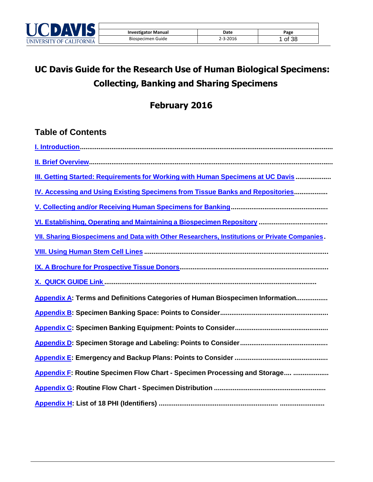

# **UC Davis Guide for the Research Use of Human Biological Specimens: Collecting, Banking and Sharing Specimens**

# **February 2016**

## **Table of Contents**

| III. Getting Started: Requirements for Working with Human Specimens at UC Davis               |
|-----------------------------------------------------------------------------------------------|
| IV. Accessing and Using Existing Specimens from Tissue Banks and Repositories                 |
|                                                                                               |
|                                                                                               |
| VII. Sharing Biospecimens and Data with Other Researchers, Institutions or Private Companies. |
|                                                                                               |
|                                                                                               |
|                                                                                               |
| Appendix A: Terms and Definitions Categories of Human Biospecimen Information                 |
|                                                                                               |
|                                                                                               |
|                                                                                               |
|                                                                                               |
| Appendix F: Routine Specimen Flow Chart - Specimen Processing and Storage                     |
|                                                                                               |
|                                                                                               |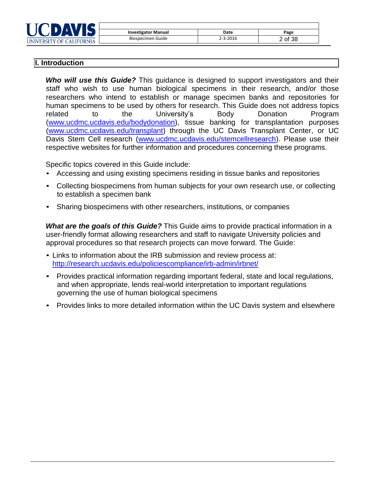

| <b>Investigator Manual</b> | Date     | Page    |
|----------------------------|----------|---------|
| Biospecimen Guide          | 2-3-2016 | 2 of 38 |

### <span id="page-1-0"></span>**I. Introduction**

**Who will use this Guide?** This guidance is designed to support investigators and their staff who wish to use human biological specimens in their research, and/or those researchers who intend to establish or manage specimen banks and repositories for human specimens to be used by others for research. This Guide does not address topics related to the University's Body Donation Program [\(www.ucdmc.ucdavis.edu/bodydonation\)](http://www.ucdmc.ucdavis.edu/bodydonation/), tissue banking for transplantation purposes [\(www.ucdmc.ucdavis.edu/transplant\)](http://www.ucdmc.ucdavis.edu/transplant) through the UC Davis Transplant Center, or UC Davis Stem Cell research [\(www.ucdmc.ucdavis.edu/stemcellresearch\)](http://www.ucdmc.ucdavis.edu/stemcellresearch). Please use their respective websites for further information and procedures concerning these programs.

Specific topics covered in this Guide include:

- Accessing and using existing specimens residing in tissue banks and repositories
- Collecting biospecimens from human subjects for your own research use, or collecting to establish a specimen bank
- Sharing biospecimens with other researchers, institutions, or companies

*What are the goals of this Guide?* This Guide aims to provide practical information in a user-friendly format allowing researchers and staff to navigate University policies and approval procedures so that research projects can move forward. The Guide:

- Links to information about the IRB submission and review process at: <http://research.ucdavis.edu/policiescompliance/irb-admin/irbnet/>
- Provides practical information regarding important federal, state and local regulations, and when appropriate, lends real-world interpretation to important regulations governing the use of human biological specimens
- Provides links to more detailed information within the UC Davis system and elsewhere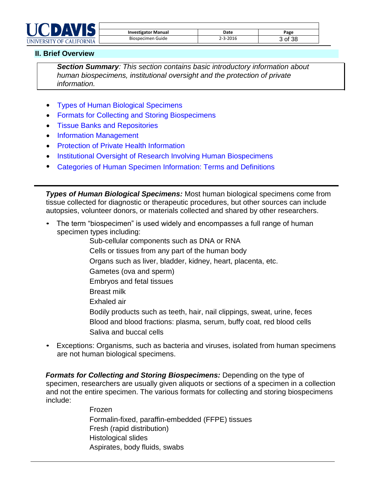

| <b>Investigator Manual</b> | Date     | Page    |
|----------------------------|----------|---------|
| Biospecimen Guide          | 2-3-2016 | ? of 38 |

#### <span id="page-2-0"></span>**II. Brief Overview**

*Section Summary: This section contains basic introductory information about human biospecimens, institutional oversight and the protection of private information.*

- Types of Human Biological Specimens
- Formats for Collecting and Storing Biospecimens
- Tissue Banks and Repositories
- Information Management
- Protection of Private Health Information
- Institutional Oversight of Research Involving Human Biospecimens
- Categories of Human Specimen Information: Terms and Definitions

*Types of Human Biological Specimens:* Most human biological specimens come from tissue collected for diagnostic or therapeutic procedures, but other sources can include autopsies, volunteer donors, or materials collected and shared by other researchers.

• The term "biospecimen" is used widely and encompasses a full range of human specimen types including:

Sub-cellular components such as DNA or RNA Cells or tissues from any part of the human body Organs such as liver, bladder, kidney, heart, placenta, etc. Gametes (ova and sperm) Embryos and fetal tissues Breast milk Exhaled air Bodily products such as teeth, hair, nail clippings, sweat, urine, feces Blood and blood fractions: plasma, serum, buffy coat, red blood cells Saliva and buccal cells

• Exceptions: Organisms, such as bacteria and viruses, isolated from human specimens are not human biological specimens.

*Formats for Collecting and Storing Biospecimens: Depending on the type of* specimen, researchers are usually given aliquots or sections of a specimen in a collection and not the entire specimen. The various formats for collecting and storing biospecimens include:

> Frozen Formalin-fixed, paraffin-embedded (FFPE) tissues Fresh (rapid distribution) Histological slides Aspirates, body fluids, swabs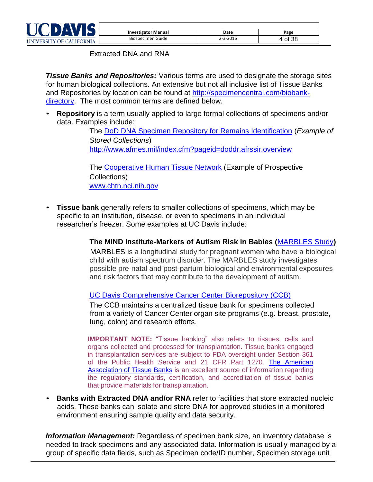

| <b>Investigator Manual</b> | Date     | Page    |
|----------------------------|----------|---------|
| Biospecimen Guide          | 2-3-2016 | 4 of 38 |

Extracted DNA and RNA

*Tissue Banks and Repositories:* Various terms are used to designate the storage sites for human biological collections. An extensive but not all inclusive list of Tissue Banks and Repositories by location can be found at [http://specimencentral.com/biobank](http://specimencentral.com/biobank-directory)[directory.](http://specimencentral.com/biobank-directory) The most common terms are defined below.

• **Repository** is a term usually applied to large formal collections of specimens and/or data. Examples include:

> The [DoD DNA Specimen Repository for Remains Identification](http://www.afmes.mil/index.cfm?pageid=doddr.afrssir.overview) (*Example of Stored Collections*) <http://www.afmes.mil/index.cfm?pageid=doddr.afrssir.overview>

The [Cooperative](http://www.chtn.nci.nih.gov/) Human Tissue Network (Example of Prospective Collections) [www.chtn.nci.nih.gov](http://www.chtn.nci.nih.gov/)

• **Tissue bank** generally refers to smaller collections of specimens, which may be specific to an institution, disease, or even to specimens in an individual researcher's freezer. Some examples at UC Davis include:

> **The MIND Institute-Markers of Autism Risk in Babies (**[MARBLES Study](http://www.ucdmc.ucdavis.edu/mindinstitute/research/marbles/index.html)**)** MARBLES is a longitudinal study for pregnant women who have a biological child with autism spectrum disorder. The MARBLES study investigates possible pre-natal and post-partum biological and environmental exposures and risk factors that may contribute to the development of autism.

UC Davis Comprehensive Cancer Center [Biorepository \(CCB\)](http://www.ucdmc.ucdavis.edu/cancer/research/sharedresources/specimen.html)

The CCB maintains a centralized tissue bank for specimens collected from a variety of Cancer Center organ site programs (e.g. breast, prostate, lung, colon) and research efforts.

**IMPORTANT NOTE:** "Tissue banking" also refers to tissues, cells and organs collected and processed for transplantation. Tissue banks engaged in transplantation services are subject to FDA oversight under Section 361 of the Public Health Service and 21 CFR Part 1270. [The American](http://www.aatb.org/) [Association](http://www.aatb.org/) of Tissue Banks is an excellent source of information regarding the regulatory standards, certification, and accreditation of tissue banks that provide materials for transplantation.

• **Banks with Extracted DNA and/or RNA** refer to facilities that store extracted nucleic acids. These banks can isolate and store DNA for approved studies in a monitored environment ensuring sample quality and data security.

*Information Management:* Regardless of specimen bank size, an inventory database is needed to track specimens and any associated data. Information is usually managed by a group of specific data fields, such as Specimen code/ID number, Specimen storage unit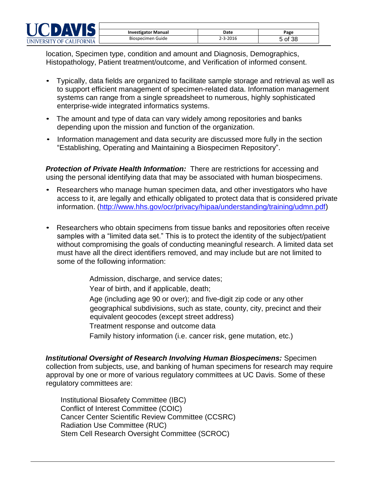|  | UNIVERSITY OF CALIFORNIA |  |  |  |
|--|--------------------------|--|--|--|

| <b>Investigator Manual</b> | Date     | Page    |
|----------------------------|----------|---------|
| Biospecimen Guide          | 2-3-2016 | 5 of 38 |

location, Specimen type, condition and amount and Diagnosis, Demographics, Histopathology, Patient treatment/outcome, and Verification of informed consent.

- Typically, data fields are organized to facilitate sample storage and retrieval as well as to support efficient management of specimen-related data. Information management systems can range from a single spreadsheet to numerous, highly sophisticated enterprise-wide integrated informatics systems.
- The amount and type of data can vary widely among repositories and banks depending upon the mission and function of the organization.
- Information management and data security are discussed more fully in the section "Establishing, Operating and Maintaining a Biospecimen Repository".

**Protection of Private Health Information:** There are restrictions for accessing and using the personal identifying data that may be associated with human biospecimens.

- Researchers who manage human specimen data, and other investigators who have access to it, are legally and ethically obligated to protect data that is considered private [information.](http://www.research.ucsf.edu/chr/HIPAA/chrHIPAAphi.asp) [\(http://www.hhs.gov/ocr/privacy/hipaa/understanding/training/udmn.pdf\)](http://www.hhs.gov/ocr/privacy/hipaa/understanding/training/udmn.pdf)
- Researchers who obtain specimens from tissue banks and repositories often receive samples with a "limited data set." This is to protect the identity of the subject/patient without compromising the goals of conducting meaningful research. A limited data set must have all the direct identifiers removed, and may include but are not limited to some of the following information:

Admission, discharge, and service dates;

Year of birth, and if applicable, death;

Age (including age 90 or over); and five-digit zip code or any other geographical subdivisions, such as state, county, city, precinct and their equivalent geocodes (except street address)

Treatment response and outcome data

Family history information (i.e. cancer risk, gene mutation, etc.)

*Institutional Oversight of Research Involving Human Biospecimens:* Specimen collection from subjects, use, and banking of human specimens for research may require approval by one or more of various regulatory committees at UC Davis. Some of these regulatory committees are:

Institutional Biosafety Committee (IBC) Conflict of Interest Committee (COIC) Cancer Center Scientific Review Committee (CCSRC) Radiation Use Committee (RUC) Stem Cell Research Oversight Committee (SCROC)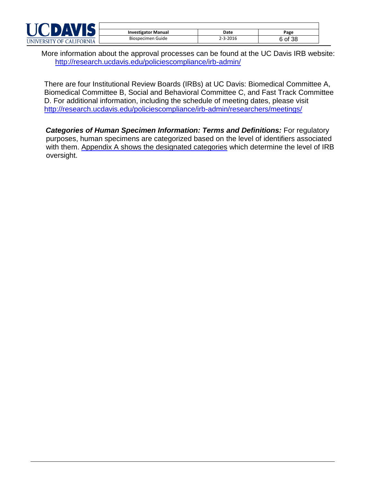

| <b>Investigator Manual</b> | Date     | Page    |
|----------------------------|----------|---------|
| Biospecimen Guide          | 2-3-2016 | 6 of 38 |

More information about the approval processes can be found at the UC Davis IRB website: <http://research.ucdavis.edu/policiescompliance/irb-admin/>

There are four Institutional Review Boards (IRBs) at UC Davis: Biomedical Committee A, Biomedical Committee B, Social and Behavioral Committee C, and Fast Track Committee D. For additional information, including the schedule of meeting dates, please visit <http://research.ucdavis.edu/policiescompliance/irb-admin/researchers/meetings/>

*Categories of Human Specimen Information: Terms and Definitions:* For regulatory purposes, human specimens are categorized based on the level of identifiers associated with them. Appendix A shows the designated categories which determine the level of IRB oversight.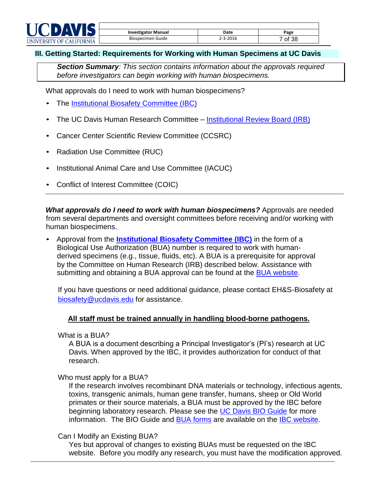

### <span id="page-6-0"></span>**III. Getting Started: Requirements for Working with Human Specimens at UC Davis**

*Section Summary: This section contains information about the approvals required before investigators can begin working with human biospecimens.*

What approvals do I need to work with human biospecimens?

- The **Institutional Biosafety Committee (IBC)**
- The UC Davis Human Research Committee [Institutional Review Board \(IRB\)](http://research.ucdavis.edu/policiescompliance/irb-admin/)
- Cancer Center Scientific Review Committee (CCSRC)
- Radiation Use Committee (RUC)
- Institutional Animal Care and Use Committee (IACUC)
- Conflict of Interest Committee (COIC)

*What approvals do I need to work with human biospecimens?* Approvals are needed from several departments and oversight committees before receiving and/or working with human biospecimens.

• Approval from the **[Institutional Biosafety Committee \(IBC\)](http://safetyservices.ucdavis.edu/ps/bis/ibc/ibc)** in the form of a [Biological Use Authorization](http://www.research.ucsf.edu/Forms/form3520.pdf) (BUA) number is required to work with humanderived specimens (e.g., tissue, fluids, etc). A BUA is a prerequisite for approval by the Committee on Human Research (IRB) described below. Assistance with submitting and obtaining a BUA approval can be found at the [BUA website.](http://safetyservices.ucdavis.edu/ps/bis/f_p/bua)

If you have questions or need additional guidance, please contact EH&S-Biosafety at [biosafety@ucdavis.edu](mailto:biosafety@ucdavis.edu) for assistance.

#### **All staff must be trained annually in handling blood-borne pathogens.**

What is a BUA?

A BUA is a document describing a Principal Investigator's (PI's) research at UC Davis. When approved by the IBC, it provides authorization for conduct of that research.

Who must apply for a BUA?

If the research involves recombinant DNA materials or technology, infectious agents, toxins, transgenic animals, human gene transfer, humans, sheep or Old World primates or their source materials, a BUA must be approved by the IBC before beginning laboratory research. Please see the UC Davis [BIO Guide](http://safetyservices.ucdavis.edu/ps/bis/f_p/bua/BIOGuideforPIsv1.1UCDavis.docx/view) for more information. The BIO Guide and [BUA forms](http://safetyservices.ucdavis.edu/ps/bis/f_p/bua/BIOGuideforPIsv1.1UCDavis.docx/view) are available on the [IBC website.](http://safetyservices.ucdavis.edu/ps/bis/ibc/ibc)

#### Can I Modify an Existing BUA?

Yes but approval of changes to existing BUAs must be requested on the IBC website. Before you modify any research, you must have the modification approved.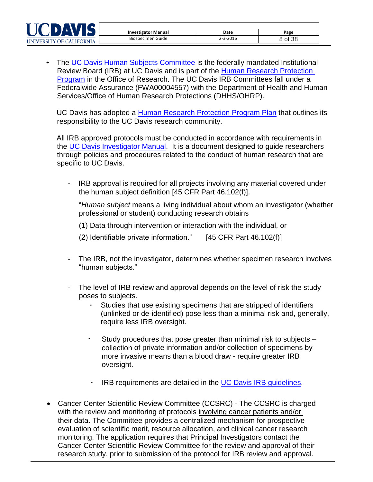| NIVERSITY OF CALIFORNIA |  |  |
|-------------------------|--|--|

| <b>Investigator Manual</b> | Date     | Page    |
|----------------------------|----------|---------|
| Biospecimen Guide          | 2-3-2016 | 8 of 38 |

• The [UC Davis Human Subjects Committee](http://research.ucdavis.edu/policiescompliance/irb-admin/) is the federally mandated Institutional Review Board (IRB) at UC Davis and is part of the [Human Research Protection](http://research.ucdavis.edu/wp-content/uploads/HRP-101-HUMAN-RESEARCH-PROTECTION-PROGRAM-PLAN.pdf)  [Program](http://research.ucdavis.edu/wp-content/uploads/HRP-101-HUMAN-RESEARCH-PROTECTION-PROGRAM-PLAN.pdf) in the Office of Research. The UC Davis IRB Committees fall under a Federalwide Assurance (FWA00004557) with the Department of Health and Human Services/Office of Human Research Protections (DHHS/OHRP).

UC Davis has adopted a **Human Research Protection Program Plan** that outlines its responsibility to the UC Davis research community.

All IRB approved protocols must be conducted in accordance with requirements in the UC Davis [Investigator Manual.](http://research.ucdavis.edu/wp-content/uploads/HRP-103-INVESTIGATOR-MANUAL.pdf) It is a document designed to guide researchers through policies and procedures related to the conduct of human research that are specific to UC Davis.

IRB approval is required for all projects involving any material covered under the human subject definition [45 CFR Part 46.102(f)].

"*Human subject* means a living individual about whom an investigator (whether professional or student) conducting research obtains

(1) Data through intervention or interaction with the individual, or

- (2) Identifiable private information." [45 CFR Part 46.102(f)]
- The IRB, not the investigator, determines whether specimen research involves "human subjects."
- The level of IRB review and approval depends on the level of risk the study poses to subjects.
	- Studies that use existing specimens that are stripped of identifiers (unlinked or de-identified) pose less than a minimal risk and, generally, require less IRB oversight.
	- Study procedures that pose greater than minimal risk to subjects collection of private information and/or collection of specimens by more invasive means than a blood draw - require greater IRB oversight.
		- IRB requirements are detailed in the UC Davis [IRB guidelines.](http://research.ucdavis.edu/policiescompliance/irb-admin/)
- Cancer Center Scientific Review Committee (CCSRC) The CCSRC is charged with the review and monitoring of protocols involving cancer patients and/or their data. The Committee provides a centralized mechanism for prospective evaluation of scientific merit, resource allocation, and clinical cancer research monitoring. The application requires that Principal Investigators contact the Cancer Center Scientific Review Committee for the review and approval of their research study, prior to submission of the protocol for IRB review and approval.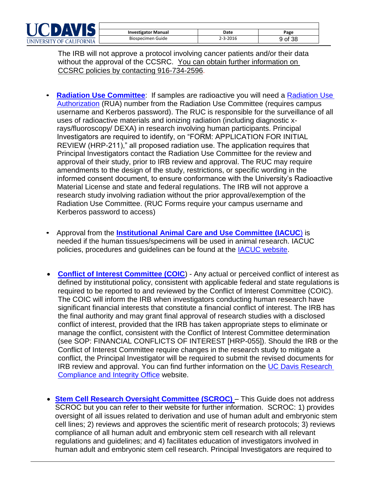| UNIVERSITY OF CALIFORNIA |  |  |  |  |  |
|--------------------------|--|--|--|--|--|

| <b>Investigator Manual</b> | Date     | Page    |
|----------------------------|----------|---------|
| Biospecimen Guide          | 2-3-2016 | 9 of 38 |

The IRB will not approve a protocol involving cancer patients and/or their data without the approval of the CCSRC. You can obtain further information on CCSRC policies by contacting 916-734-2596.

- **[Radiation Use Committee](http://safetyservices.ucdavis.edu/ps/rs/fmp_Rad)**: If samples are radioactive you will need a [Radiation](https://cas.ucdavis.edu/cas/login?service=http%3A%2F%2Fsafetyapps%2Eucdavis%2Eedu%2Fehs%2FRadForms%2FRUA%2Ecfm) Use [Authorization](https://cas.ucdavis.edu/cas/login?service=http%3A%2F%2Fsafetyapps%2Eucdavis%2Eedu%2Fehs%2FRadForms%2FRUA%2Ecfm) (RUA) number from the Radiation Use Committee (requires campus username and Kerberos password). The RUC is responsible for the surveillance of all uses of radioactive materials and ionizing radiation (including diagnostic xrays/fluoroscopy/ DEXA) in research involving human participants. Principal Investigators are required to identify, on "FORM: APPLICATION FOR INITIAL REVIEW (HRP-211)," all proposed radiation use. The application requires that Principal Investigators contact the Radiation Use Committee for the review and approval of their study, prior to IRB review and approval. The RUC may require amendments to the design of the study, restrictions, or specific wording in the informed consent document, to ensure conformance with the University's Radioactive Material License and state and federal regulations. The IRB will not approve a research study involving radiation without the prior approval/exemption of the Radiation Use Committee. (RUC Forms require your campus username and Kerberos password to access)
- Approval from the **[Institutional Animal Care and Use Committee \(IACUC](http://safetyservices.ucdavis.edu/ps/a/IACUC)**) is needed if the human tissues/specimens will be used in animal research. IACUC policies, procedures and guidelines can be found at the [IACUC website.](http://safetyservices.ucdavis.edu/ps/a/IACUC/po/Master)
- **[Conflict of Interest Committee \(COIC](http://research.ucdavis.edu/industry/partner-with-uc-davis/building-u-i-collaborations/researcher-resources/consulting-industry/conflict-interest/))** Any actual or perceived conflict of interest as defined by institutional policy, consistent with applicable federal and state regulations is required to be reported to and reviewed by the Conflict of Interest Committee (COIC). The COIC will inform the IRB when investigators conducting human research have significant financial interests that constitute a financial conflict of interest. The IRB has the final authority and may grant final approval of research studies with a disclosed conflict of interest, provided that the IRB has taken appropriate steps to eliminate or manage the conflict, consistent with the Conflict of Interest Committee determination (see SOP: FINANCIAL CONFLICTS OF INTEREST [HRP-055]). Should the IRB or the Conflict of Interest Committee require changes in the research study to mitigate a conflict, the Principal Investigator will be required to submit the revised documents for IRB review and approval. You can find further information on the UC Davis [Research](http://research.ucdavis.edu/offices/rci/)  [Compliance and Integrity Office](http://research.ucdavis.edu/offices/rci/) website.
- **[Stem Cell Research Oversight Committee \(SCROC\)](http://research.ucdavis.edu/policiescompliance/stem-cell-research/)** This Guide does not address SCROC but you can refer to their website for further information. SCROC: 1) provides oversight of all issues related to derivation and use of human adult and embryonic stem cell lines; 2) reviews and approves the scientific merit of research protocols; 3) reviews compliance of all human adult and embryonic stem cell research with all relevant regulations and guidelines; and 4) facilitates education of investigators involved in human adult and embryonic stem cell research. Principal Investigators are required to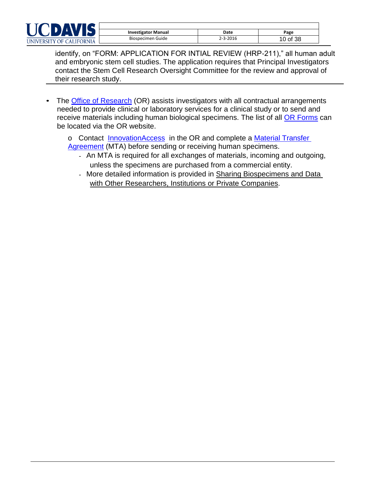

| <b>Investigator Manual</b> | Date     | Page     |
|----------------------------|----------|----------|
| Biospecimen Guide          | 2-3-2016 | 10 of 38 |

identify, on "FORM: APPLICATION FOR INTIAL REVIEW (HRP-211)," all human adult and embryonic stem cell studies. The application requires that Principal Investigators contact the Stem Cell Research Oversight Committee for the review and approval of their research study.

- The [Office of Research](http://www.research.ucsf.edu/Units/Osr.asp) (OR) assists investigators with all contractual arrangements needed to provide clinical or laboratory services for a clinical study or to send and receive materials including human biological specimens. The list of all [OR Forms](http://research.ucdavis.edu/resources/forms/) can be located via the OR website.
	- o Contact [InnovationAccess](http://research.ucdavis.edu/industry/ia/) in the OR and complete a [Material](http://research.ucdavis.edu/industry/ia/researchers/material-transfer/) Transfer [Agreement](http://research.ucdavis.edu/industry/ia/researchers/material-transfer/) (MTA) before sending or receiving human specimens.
		- An MTA is required for all exchanges of materials, incoming and outgoing, unless the specimens are purchased from a commercial entity.
		- More detailed information is provided in Sharing Biospecimens and Data with Other Researchers, Institutions or Private Companies.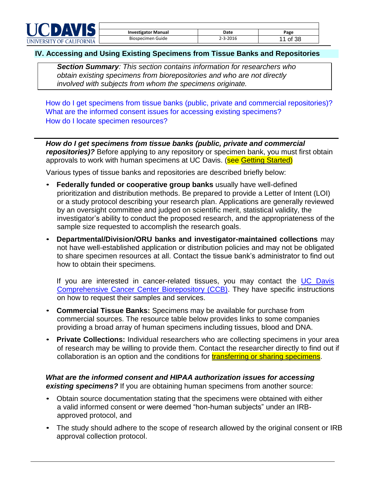

| <b>Investigator Manual</b> | Date     | Page     |
|----------------------------|----------|----------|
| Biospecimen Guide          | 2-3-2016 | 11 of 38 |

### <span id="page-10-0"></span>**IV. Accessing and Using Existing Specimens from Tissue Banks and Repositories**

*Section Summary: This section contains information for researchers who obtain existing specimens from biorepositories and who are not directly involved with subjects from whom the specimens originate.*

How do I get specimens from tissue banks (public, private and commercial repositories)? What are the informed consent issues for accessing existing specimens? How do I locate specimen resources?

*How do I get specimens from tissue banks (public, private and commercial repositories)?* Before applying to any repository or specimen bank, you must first obtain approvals to work with human specimens at UC Davis. (see Getting Started)

Various types of tissue banks and repositories are described briefly below:

- **Federally funded or cooperative group banks** usually have well-defined prioritization and distribution methods. Be prepared to provide a Letter of Intent (LOI) or a study protocol describing your research plan. Applications are generally reviewed by an oversight committee and judged on scientific merit, statistical validity, the investigator's ability to conduct the proposed research, and the appropriateness of the sample size requested to accomplish the research goals.
- **Departmental/Division/ORU banks and investigator-maintained collections** may not have well-established application or distribution policies and may not be obligated to share specimen resources at all. Contact the tissue bank's administrator to find out how to obtain their specimens.

If you are interested in cancer-related tissues, you may contact the  $UC$  Davis [Comprehensive Cancer Center Biorepository \(CCB\).](http://www.ucdmc.ucdavis.edu/cancer/research/sharedresources/specimen.html) They have specific instructions on how to request their samples and services.

- **Commercial Tissue Banks:** Specimens may be available for purchase from commercial sources. The resource table below provides links to some companies providing a broad array of human specimens including tissues, blood and DNA.
- **Private Collections:** Individual researchers who are collecting specimens in your area of research may be willing to provide them. Contact the researcher directly to find out if collaboration is an option and the conditions for **transferring or sharing specimens**.

### *What are the informed consent and HIPAA authorization issues for accessing existing specimens?* If you are obtaining human specimens from another source:

- Obtain source documentation stating that the specimens were obtained with either a valid informed consent or were deemed "hon-human subjects" under an IRBapproved protocol, and
- The study should adhere to the scope of research allowed by the original consent or IRB approval collection protocol.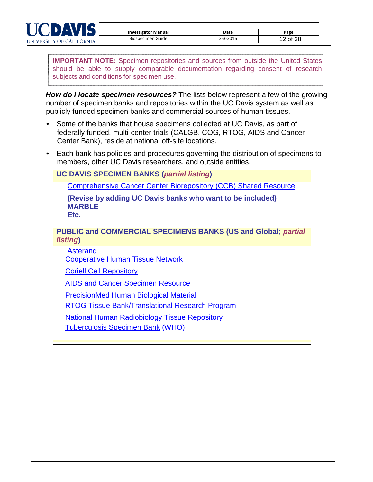| <b>Investigator Manual</b> | Date     | Page     |
|----------------------------|----------|----------|
| Biospecimen Guide          | 2-3-2016 | 12 of 38 |

**IMPORTANT NOTE:** Specimen repositories and sources from outside the United States should be able to supply comparable documentation regarding consent of research subjects and conditions for specimen use.

*How do I locate specimen resources?* The lists below represent a few of the growing number of specimen banks and repositories within the UC Davis system as well as publicly funded specimen banks and commercial sources of human tissues.

- Some of the banks that house specimens collected at UC Davis, as part of federally funded, multi-center trials (CALGB, COG, RTOG, AIDS and Cancer Center Bank), reside at national off-site locations.
- Each bank has policies and procedures governing the distribution of specimens to members, other UC Davis researchers, and outside entities.

| <b>UC DAVIS SPECIMEN BANKS (partial listing)</b>                                                |
|-------------------------------------------------------------------------------------------------|
| <b>Comprehensive Cancer Center Biorepository (CCB) Shared Resource</b>                          |
| (Revise by adding UC Davis banks who want to be included)<br><b>MARBLE</b><br>Etc.              |
| <b>PUBLIC and COMMERCIAL SPECIMENS BANKS (US and Global; partial</b><br><i>listing</i> )        |
| <b>Asterand</b>                                                                                 |
| <b>Cooperative Human Tissue Network</b>                                                         |
| <b>Coriell Cell Repository</b>                                                                  |
| <b>AIDS and Cancer Specimen Resource</b>                                                        |
| <b>PrecisionMed Human Biological Material</b>                                                   |
| <b>RTOG Tissue Bank/Translational Research Program</b>                                          |
| <b>National Human Radiobiology Tissue Repository</b><br><b>Tuberculosis Specimen Bank (WHO)</b> |
|                                                                                                 |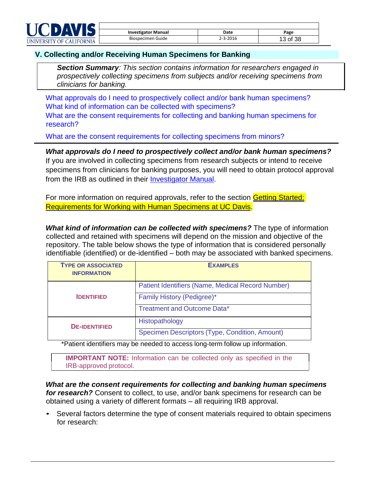

| <b>Investigator Manual</b> | Date     | Page     |
|----------------------------|----------|----------|
| Biospecimen Guide          | 2-3-2016 | 13 of 38 |

### <span id="page-12-0"></span>**V. Collecting and/or Receiving Human Specimens for Banking**

*Section Summary: This section contains information for researchers engaged in prospectively collecting specimens from subjects and/or receiving specimens from clinicians for banking.*

What approvals do I need to prospectively collect and/or bank human specimens? What kind of information can be collected with specimens? What are the consent requirements for collecting and banking human specimens for research?

What are the consent requirements for collecting specimens from minors?

*What approvals do I need to prospectively collect and/or bank human specimens?* If you are involved in collecting specimens from research subjects or intend to receive specimens from clinicians for banking purposes, you will need to obtain protocol approval from the IRB as outlined in their [Investigator Manual.](http://research.ucdavis.edu/policiescompliance/irb-admin/researchers/)

For more information on required approvals, refer to the section Getting Started: Requirements for Working with Human Specimens at UC Davis.

*What kind of information can be collected with specimens?* The type of information collected and retained with specimens will depend on the mission and objective of the repository. The table below shows the type of information that is considered personally identifiable (identified) or de-identified – both may be associated with banked specimens.

| <b>TYPE OR ASSOCIATED</b><br><b>INFORMATION</b> | <b>EXAMPLES</b>                                   |
|-------------------------------------------------|---------------------------------------------------|
|                                                 | Patient Identifiers (Name, Medical Record Number) |
| <b>IDENTIFIED</b>                               | Family History (Pedigree)*                        |
|                                                 | Treatment and Outcome Data*                       |
| <b>DE-IDENTIFIED</b>                            | Histopathology                                    |
|                                                 | Specimen Descriptors (Type, Condition, Amount)    |

\*Patient identifiers may be needed to access long-term follow up information.

**IMPORTANT NOTE:** Information can be collected only as specified in the IRB-approved protocol.

*What are the consent requirements for collecting and banking human specimens for research?* Consent to collect, to use, and/or bank specimens for research can be obtained using a variety of different formats – all requiring IRB approval.

• Several factors determine the type of consent materials required to obtain specimens for research: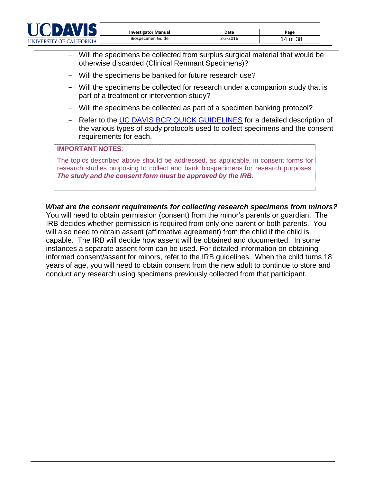

- Will the specimens be collected from surplus surgical material that would be otherwise discarded (Clinical Remnant Specimens)?
- Will the specimens be banked for future research use?
- Will the specimens be collected for research under a companion study that is part of a treatment or intervention study?
- Will the specimens be collected as part of a specimen banking protocol?
- Refer to the UC DAVIS [BCR QUICK GUIDELINES](file://///hshome02/home/smc/Urology/ssoares/C%20Drive%20-%20%20All%20Desktop%20files%20from%20UROLOGY/UCDHS%20Biorepository%20Workgroup/WEBSITE/Res%20Using%20Hum%20Biol%20Spec%20-%20Overview/Quick%20Guide%20-%20Using%20Human%20Biological%20Specimens%209-30-15.docx) for a detailed description of the various types of study protocols used to collect specimens and the consent requirements for each.

#### **IMPORTANT NOTES**:

The topics described above should be addressed, as applicable, in consent forms for research studies proposing to collect and bank biospecimens for research purposes. *The study and the consent form must be approved by the IRB*.

### *What are the consent requirements for collecting research specimens from minors?*

You will need to obtain permission (consent) from the minor's parents or guardian. The IRB decides whether permission is required from only one parent or both parents. You will also need to obtain assent (affirmative agreement) from the child if the child is capable. The IRB will decide how assent will be obtained and documented. In some instances a separate assent form can be used. For detailed information on obtaining informed consent/assent for minors, refer to the IRB guidelines. When the child turns 18 years of age, you will need to obtain consent from the new adult to continue to store and conduct any research using specimens previously collected from that participant.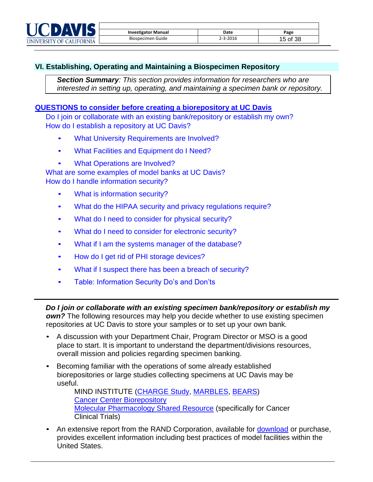### <span id="page-14-0"></span>**VI. Establishing, Operating and Maintaining a Biospecimen Repository**

*Section Summary: This section provides information for researchers who are interested in setting up, operating, and maintaining a specimen bank or repository.*

### **QUESTIONS to consider before creating a biorepository at UC Davis**

Do I join or collaborate with an existing bank/repository or establish my own? How do I establish a repository at UC Davis?

- What University Requirements are Involved?
- What Facilities and Equipment do I Need?
- What Operations are Involved?

What are some examples of model banks at UC Davis? How do I handle information security?

- What is information security?
- What do the HIPAA security and privacy regulations require?
- What do I need to consider for physical security?
- What do I need to consider for electronic security?
- What if I am the systems manager of the database?
- How do I get rid of PHI storage devices?
- What if I suspect there has been a breach of security?
- Table: Information Security Do's and Don'ts

*Do I join or collaborate with an existing specimen bank/repository or establish my own?* The following resources may help you decide whether to use existing specimen repositories at UC Davis to store your samples or to set up your own bank.

- A discussion with your Department Chair, Program Director or MSO is a good place to start. It is important to understand the department/divisions resources, overall mission and policies regarding specimen banking.
- Becoming familiar with the operations of some already established biorepositories or large studies collecting specimens at UC Davis may be useful.

MIND INSTITUTE [\(CHARGE Study,](http://beincharge.ucdavis.edu/) [MARBLES,](http://www.ucdmc.ucdavis.edu/mindinstitute/research/marbles/index.html) [BEARS\)](http://www.ucdmc.ucdavis.edu/mindbears/index.html) [Cancer Center Biorepository](http://www.ucdmc.ucdavis.edu/cancer/research/sharedresources/specimen.html) [Molecular Pharmacology Shared Resource](http://www.ucdmc.ucdavis.edu/cancer/research/sharedresources/cmp.html) (specifically for Cancer Clinical Trials)

An extensive report from the RAND Corporation, available for **download** or purchase, provides excellent information including best practices of model facilities within the United States.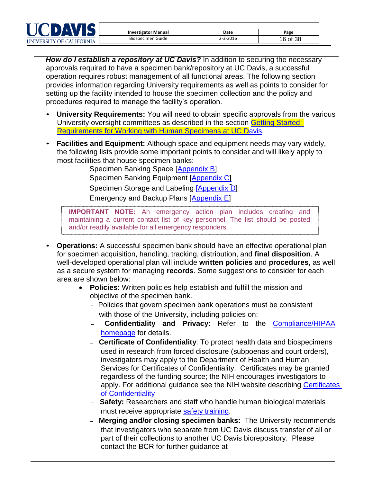| <b>Investigator Manual</b> | Date     | Page     |
|----------------------------|----------|----------|
| Biospecimen Guide          | 2-3-2016 | 16 of 38 |

*How do I establish a repository at UC Davis?* In addition to securing the necessary approvals required to have a specimen bank/repository at UC Davis, a successful operation requires robust management of all functional areas. The following section provides information regarding University requirements as well as points to consider for setting up the facility intended to house the specimen collection and the policy and procedures required to manage the facility's operation.

- **University Requirements:** You will need to obtain specific approvals from the various University oversight committees as described in the section Getting [Started:](#page-6-0) [Requirements](#page-6-0) for Working with Human Specimens at UC Davis.
- **Facilities and Equipment:** Although space and equipment needs may vary widely, the following lists provide some important points to consider and will likely apply to most facilities that house specimen banks:

Specimen Banking Space [\[Appendix](#page-32-0) B] Specimen Banking Equipment [\[Appendix](#page-33-0) C] Specimen Storage and Labeling [\[Appendix](#page-35-0) D] Emergency and Backup Plans [\[Appendix](#page-36-0) E]

**IMPORTANT NOTE:** An emergency action plan includes creating and maintaining a current contact list of key personnel. The list should be posted and/or readily available for all emergency responders.

- **Operations:** A successful specimen bank should have an effective operational plan for specimen acquisition, handling, tracking, distribution, and **final disposition**. A well-developed operational plan will include **written policies** and **procedures**, as well as a secure system for managing **records**. Some suggestions to consider for each area are shown below:
	- **Policies:** Written policies help establish and fulfill the mission and objective of the specimen bank.
		- Policies that govern specimen bank operations must be consistent with those of the University, including policies on:
		- **Confidentiality and Privacy:** Refer to the [Compliance/HIPAA](http://www.ucdmc.ucdavis.edu/compliance/guidance/privacy/) [homepage](http://www.ucdmc.ucdavis.edu/compliance/guidance/privacy/) for details.
		- **Certificate of Confidentiality**: To protect health data and biospecimens used in research from forced disclosure (subpoenas and court orders), investigators may apply to the Department of Health and Human Services for Certificates of Confidentiality. Certificates may be granted regardless of the funding source; the NIH encourages investigators to apply. For additional guidance see the NIH website describing [Certificates](http://grants.nih.gov/grants/policy/coc/contacts.htm)  [of Confidentiality](http://grants.nih.gov/grants/policy/coc/contacts.htm)
		- **Safety:** Researchers and staff who handle human biological materials must receive appropriate safety [training.](http://safetyservices.ucdavis.edu/tr/labAndResearchSafetyTraining)
		- **Merging and/or closing specimen banks:** The University recommends that investigators who separate from UC Davis discuss transfer of all or part of their collections to another UC Davis biorepository. Please contact the BCR for further guidance at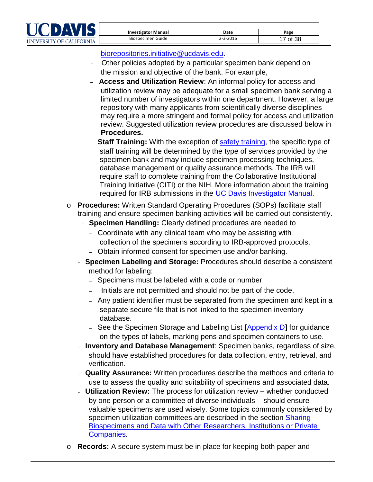

| <b>Investigator Manual</b> | Date     | Page     |
|----------------------------|----------|----------|
| Biospecimen Guide          | 2-3-2016 | 17 of 38 |

#### [biorepositories.initiative@ucdavis.edu.](mailto:biorepositories.initiative@ucdavis.edu?subject=Further%20Information)

- Other policies adopted by a particular specimen bank depend on the mission and objective of the bank. For example,
- **Access and Utilization Review**: An informal policy for access and utilization review may be adequate for a small specimen bank serving a limited number of investigators within one department. However, a large repository with many applicants from scientifically diverse disciplines may require a more stringent and formal policy for access and utilization review. Suggested utilization review procedures are discussed below in **Procedures.**
- **Staff Training:** With the exception of safety [training,](http://safetyservices.ucdavis.edu/tr/labAndResearchSafetyTraining) the specific type of staff training will be determined by the type of services provided by the specimen bank and may include specimen processing techniques, database management or quality assurance methods. The IRB will require staff to complete training from the Collaborative Institutional Training Initiative (CITI) or the NIH. More information about the training required for IRB submissions in the [UC Davis Investigator Manual.](http://research.ucdavis.edu/wp-content/uploads/HRP-103-INVESTIGATOR-MANUAL.pdf)
- o **Procedures:** Written Standard Operating Procedures (SOPs) facilitate staff training and ensure specimen banking activities will be carried out consistently.
	- **Specimen Handling:** Clearly defined procedures are needed to
		- Coordinate with any clinical team who may be assisting with collection of the specimens according to IRB-approved protocols.
		- Obtain informed consent for specimen use and/or banking.
	- **Specimen Labeling and Storage:** Procedures should describe a consistent method for labeling:
		- Specimens must be labeled with a code or number
		- Initials are not permitted and should not be part of the code.
		- Any patient identifier must be separated from the specimen and kept in a separate secure file that is not linked to the specimen inventory database.
		- See the Specimen Storage and Labeling List **[**[Appendix](#page-35-0) <sup>D</sup>**]** for guidance on the types of labels, marking pens and specimen containers to use.
	- **Inventory and Database Management**: Specimen banks, regardless of size, should have established procedures for data collection, entry, retrieval, and verification.
	- **Quality Assurance:** Written procedures describe the methods and criteria to use to assess the quality and suitability of specimens and associated data.
	- **Utilization Review:** The process for utilization review whether conducted by one person or a committee of diverse individuals – should ensure valuable specimens are used wisely. Some topics commonly considered by specimen utilization committees are described in the section [Sharing](#page-24-0) [Biospecimens](#page-24-0) and Data with Other Researchers, Institutions or Private [Companies.](#page-24-0)
- o **Records:** A secure system must be in place for keeping both paper and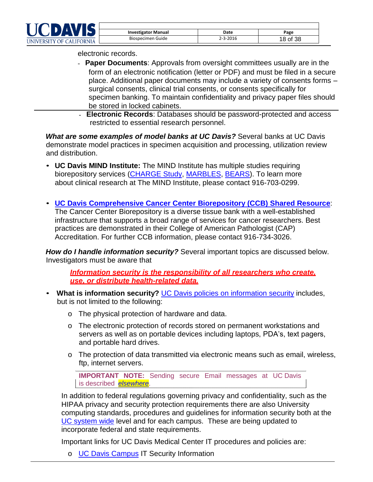| UNIVERSITY OF CALIFORNIA |  |  |  |
|--------------------------|--|--|--|

| <b>Investigator Manual</b> | Date     | Page     |
|----------------------------|----------|----------|
| Biospecimen Guide          | 2-3-2016 | 18 of 38 |

electronic records.

- **Paper Documents**: Approvals from oversight committees usually are in the form of an electronic notification (letter or PDF) and must be filed in a secure place. Additional paper documents may include a variety of consents forms – surgical consents, clinical trial consents, or consents specifically for specimen banking. To maintain confidentiality and privacy paper files should be stored in locked cabinets.
- **Electronic Records**: Databases should be password-protected and access restricted to essential research personnel.

*What are some examples of model banks at UC Davis?* Several banks at UC Davis demonstrate model practices in specimen acquisition and processing, utilization review and distribution.

- **UC Davis MIND Institute:** The MIND Institute has multiple studies requiring biorepository services [\(CHARGE Study,](http://beincharge.ucdavis.edu/) [MARBLES,](http://www.ucdmc.ucdavis.edu/mindinstitute/research/marbles/index.html) [BEARS\)](http://www.ucdmc.ucdavis.edu/mindbears/index.html). To learn more about clinical research at The MIND Institute, please contact 916-703-0299.
- **UC Davis [Comprehensive Cancer Center Biorepository \(CCB\)](http://www.ucdmc.ucdavis.edu/cancer/research/sharedresources/specimen.html) Shared Resource**: The Cancer Center Biorepository is a diverse tissue bank with a well-established infrastructure that supports a broad range of services for cancer researchers. Best practices are demonstrated in their College of American Pathologist (CAP) Accreditation. For further CCB information, please contact 916-734-3026.

*How do I handle information security?* Several important topics are discussed below. Investigators must be aware that

*Information security is the responsibility of all researchers who create, use, or distribute health-related data.*

- What is information security? UC Davis [policies on information security](http://iet.ucdavis.edu/policies/) includes, but is not limited to the following:
	- o The physical protection of hardware and data.
	- o The electronic protection of records stored on permanent workstations and servers as well as on portable devices including laptops, PDA's, text pagers, and portable hard drives.
	- o The protection of data transmitted via electronic means such as email, wireless, ftp, internet servers.

**IMPORTANT NOTE:** Sending secure Email messages at UC Davis is described *[elsewhere](http://its.ucsf.edu/information/applications/exchange/secure_email.jsp)*.

In addition to federal regulations governing privacy and confidentiality, such as the HIPAA privacy and security protection requirements there are also University computing standards, procedures and guidelines for information security both at the [UC system wide](http://www.ucdmc.ucdavis.edu/compliance/guidance/privacy/) level and for each campus. These are being updated to incorporate federal and state requirements.

Important links for UC Davis Medical Center IT procedures and policies are:

o UC Davis [Campus](http://cloud.ucdavis.edu/privacy_security.html) IT Security Information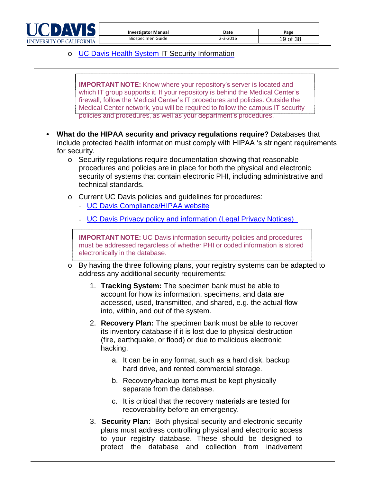

| <b>Investigator Manual</b> | Date           | Page     |
|----------------------------|----------------|----------|
| Biospecimen Guide          | $2 - 3 - 2016$ | 19 of 38 |

### o UC Davis [Health System](http://intranet.ucdmc.ucdavis.edu/policies/hospital_policies_and_procedures/index.shtml#33) IT Security Information

**IMPORTANT NOTE:** Know where your repository's server is located and which IT group supports it. If your repository is behind the Medical Center's firewall, follow the Medical Center's IT procedures and policies. Outside the Medical Center network, you will be required to follow the campus IT security policies and procedures, as well as your department's procedures.

- **What do the HIPAA security and privacy regulations require?** Databases that include protected health information must comply with HIPAA 's stringent requirements for security.
	- o Security regulations require documentation showing that reasonable procedures and policies are in place for both the physical and electronic security of systems that contain electronic PHI, including administrative and technical standards.
	- o Current UC Davis policies and guidelines for procedures:
		- UC Davis [Compliance/HIPAA website](http://www.ucdmc.ucdavis.edu/compliance/guidance/privacy/)
		- UC Davis [Privacy policy and information \(Legal Privacy Notices\)](http://www.ucdmc.ucdavis.edu/legal/privacy/)

**IMPORTANT NOTE:** UC Davis information security policies and procedures must be addressed regardless of whether PHI or coded information is stored electronically in the database.

- o By having the three following plans, your registry systems can be adapted to address any additional security requirements:
	- 1. **Tracking System:** The specimen bank must be able to account for how its information, specimens, and data are accessed, used, transmitted, and shared, e.g. the actual flow into, within, and out of the system.
	- 2. **Recovery Plan:** The specimen bank must be able to recover its inventory database if it is lost due to physical destruction (fire, earthquake, or flood) or due to malicious electronic hacking.
		- a. It can be in any format, such as a hard disk, backup hard drive, and rented commercial storage.
		- b. Recovery/backup items must be kept physically separate from the database.
		- c. It is critical that the recovery materials are tested for recoverability before an emergency.
	- 3. **Security Plan:** Both physical security and electronic security plans must address controlling physical and electronic access to your registry database. These should be designed to protect the database and collection from inadvertent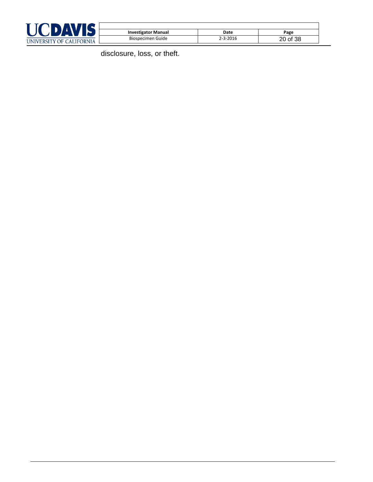

| <b>Investigator Manual</b> | Date           | Page     |
|----------------------------|----------------|----------|
| Biospecimen Guide          | $2 - 3 - 2016$ | 20 of 38 |

disclosure, loss, or theft.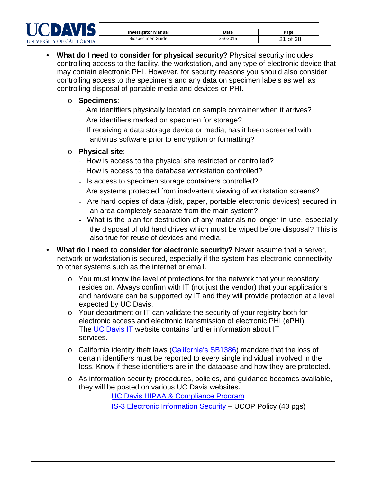| <b>Investigator Manual</b> | Date     | Page     |
|----------------------------|----------|----------|
| Biospecimen Guide          | 2-3-2016 | 21 of 38 |

• **What do I need to consider for physical security?** Physical security includes controlling access to the facility, the workstation, and any type of electronic device that may contain electronic PHI. However, for security reasons you should also consider controlling access to the specimens and any data on specimen labels as well as controlling disposal of portable media and devices or PHI.

### o **Specimens**:

- Are identifiers physically located on sample container when it arrives?
- Are identifiers marked on specimen for storage?
- If receiving a data storage device or media, has it been screened with antivirus software prior to encryption or formatting?

### o **Physical site**:

- How is access to the physical site restricted or controlled?
- How is access to the database workstation controlled?
- Is access to specimen storage containers controlled?
- Are systems protected from inadvertent viewing of workstation screens?
- Are hard copies of data (disk, paper, portable electronic devices) secured in an area completely separate from the main system?
- What is the plan for destruction of any materials no longer in use, especially the disposal of old hard drives which must be wiped before disposal? This is also true for reuse of devices and media.
- **What do I need to consider for electronic security?** Never assume that a server, network or workstation is secured, especially if the system has electronic connectivity to other systems such as the internet or email.
	- o You must know the level of protections for the network that your repository resides on. Always confirm with IT (not just the vendor) that your applications and hardware can be supported by IT and they will provide protection at a level expected by UC Davis.
	- o Your department or IT can validate the security of your registry both for electronic access and electronic transmission of electronic PHI (ePHI). The [UC Davis IT](http://itcatalog.ucdavis.edu/category/security) website contains further information about IT services.
	- o California identity theft laws [\(California's](http://www.leginfo.ca.gov/pub/01-02/bill/sen/sb_1351-1400/sb_1386_bill_20020926_chaptered.pdf) SB1386) mandate that the loss of certain identifiers must be reported to every single individual involved in the loss. Know if these identifiers are in the database and how they are protected.
	- o As information security procedures, policies, and guidance becomes available, they will be posted on various UC Davis websites.

UC Davis HIPAA [& Compliance](http://www.ucdmc.ucdavis.edu/compliance/guidance/privacy/) Program [IS-3 Electronic Information Security](http://policy.ucop.edu/doc/7000543/BFB-IS-3) – UCOP Policy (43 pgs)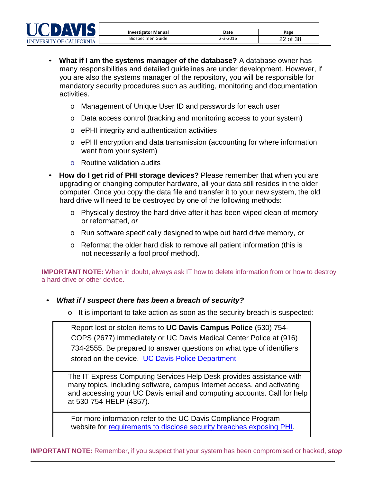| UNIVERSITY OF CALIFORNIA |  |  |
|--------------------------|--|--|

| <b>Investigator Manual</b> | Date           | Page     |
|----------------------------|----------------|----------|
| Biospecimen Guide          | $2 - 3 - 2016$ | 22 of 38 |

- **What if I am the systems manager of the database?** A database owner has many responsibilities and detailed guidelines are under development. However, if you are also the systems manager of the repository, you will be responsible for mandatory security procedures such as auditing, monitoring and [documentation](http://www.ucsf.edu/hipaa/mc_procedures/) activities.
	- o Management of Unique User ID and passwords for each user
	- o Data access control (tracking and monitoring access to your system)
	- o ePHI integrity and authentication activities
	- o ePHI encryption and data transmission (accounting for where information went from your system)
	- o Routine validation audits
- **How do I get rid of PHI storage devices?** Please remember that when you are upgrading or changing computer hardware, all your data still resides in the older computer. Once you copy the data file and transfer it to your new system, the old hard drive will need to be destroyed by one of the following methods:
	- o Physically destroy the hard drive after it has been wiped clean of memory or reformatted, *or*
	- o Run software specifically designed to wipe out hard drive memory, *or*
	- o Reformat the older hard disk to remove all patient information (this is not necessarily a fool proof method).

**IMPORTANT NOTE:** When in doubt, always ask IT how to delete information from or how to destroy a hard drive or other device.

- *What if I suspect there has been a breach of security?*
	- o It is important to take action as soon as the security breach is suspected:

Report lost or stolen items to **UC Davis Campus Police** (530) 754- COPS (2677) immediately or UC Davis Medical Center Police at (916) 734-2555. Be prepared to answer questions on what type of identifiers stored on the device. [UC Davis Police Department](http://police.ucdavis.edu/contact_us.html)

The IT Express Computing Services Help Desk provides assistance with many topics, including software, campus Internet access, and activating and accessing your UC Davis email and computing accounts. Call for help at 530-754-HELP (4357).

For more information refer to the UC Davis Compliance Program website for [requirements to disclose security breaches exposing PHI.](http://www.ucdmc.ucdavis.edu/compliance/guidance/privacy/security/secbreach.html)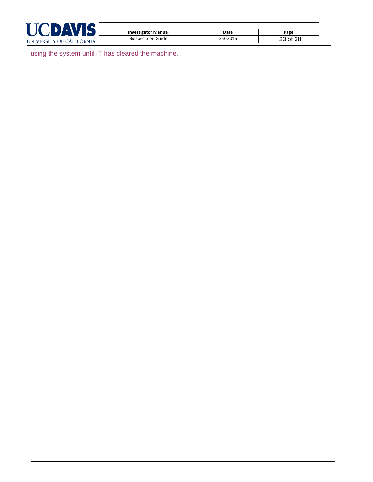

| <b>Investigator Manual</b> | Date     | Page     |
|----------------------------|----------|----------|
| Biospecimen Guide          | 2-3-2016 | 23 of 38 |

using the system until IT has cleared the machine.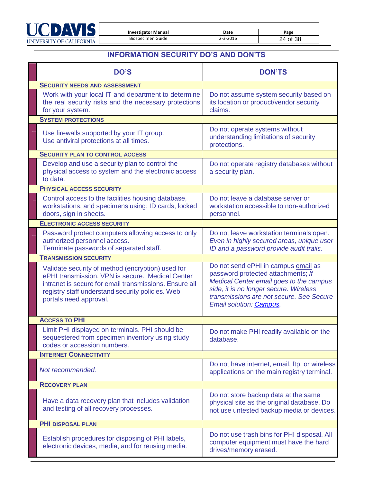

| <b>Investigator Manual</b> | Date     | Page     |
|----------------------------|----------|----------|
| Biospecimen Guide          | 2-3-2016 | 24 of 38 |

### **INFORMATION SECURITY DO'S AND DON'TS**

| <b>DO'S</b>                                                                                                                                                                                                                                   | <b>DON'TS</b>                                                                                                                                                                                                                         |
|-----------------------------------------------------------------------------------------------------------------------------------------------------------------------------------------------------------------------------------------------|---------------------------------------------------------------------------------------------------------------------------------------------------------------------------------------------------------------------------------------|
| <b>SECURITY NEEDS AND ASSESSMENT</b>                                                                                                                                                                                                          |                                                                                                                                                                                                                                       |
| Work with your local IT and department to determine<br>the real security risks and the necessary protections<br>for your system.                                                                                                              | Do not assume system security based on<br>its location or product/vendor security<br>claims.                                                                                                                                          |
| <b>SYSTEM PROTECTIONS</b>                                                                                                                                                                                                                     |                                                                                                                                                                                                                                       |
| Use firewalls supported by your IT group.<br>Use antiviral protections at all times.                                                                                                                                                          | Do not operate systems without<br>understanding limitations of security<br>protections.                                                                                                                                               |
| <b>SECURITY PLAN TO CONTROL ACCESS</b>                                                                                                                                                                                                        |                                                                                                                                                                                                                                       |
| Develop and use a security plan to control the<br>physical access to system and the electronic access<br>to data.                                                                                                                             | Do not operate registry databases without<br>a security plan.                                                                                                                                                                         |
| <b>PHYSICAL ACCESS SECURITY</b>                                                                                                                                                                                                               |                                                                                                                                                                                                                                       |
| Control access to the facilities housing database,<br>workstations, and specimens using: ID cards, locked<br>doors, sign in sheets.                                                                                                           | Do not leave a database server or<br>workstation accessible to non-authorized<br>personnel.                                                                                                                                           |
| <b>ELECTRONIC ACCESS SECURITY</b>                                                                                                                                                                                                             |                                                                                                                                                                                                                                       |
| Password protect computers allowing access to only<br>authorized personnel access.<br>Terminate passwords of separated staff.                                                                                                                 | Do not leave workstation terminals open.<br>Even in highly secured areas, unique user<br>ID and a password provide audit trails.                                                                                                      |
| <b>TRANSMISSION SECURITY</b>                                                                                                                                                                                                                  |                                                                                                                                                                                                                                       |
| Validate security of method (encryption) used for<br>ePHI transmission. VPN is secure. Medical Center<br>intranet is secure for email transmissions. Ensure all<br>registry staff understand security policies. Web<br>portals need approval. | Do not send ePHI in campus email as<br>password protected attachments; If<br>Medical Center email goes to the campus<br>side, it is no longer secure. Wireless<br>transmissions are not secure. See Secure<br>Email solution: Campus. |
| <b>ACCESS TO PHI</b>                                                                                                                                                                                                                          |                                                                                                                                                                                                                                       |
| Limit PHI displayed on terminals. PHI should be<br>sequestered from specimen inventory using study<br>codes or accession numbers.                                                                                                             | Do not make PHI readily available on the<br>database.                                                                                                                                                                                 |
| <b>INTERNET CONNECTIVITY</b>                                                                                                                                                                                                                  |                                                                                                                                                                                                                                       |
| Not recommended.                                                                                                                                                                                                                              | Do not have internet, email, ftp, or wireless<br>applications on the main registry terminal.                                                                                                                                          |
| <b>RECOVERY PLAN</b>                                                                                                                                                                                                                          |                                                                                                                                                                                                                                       |
| Have a data recovery plan that includes validation<br>and testing of all recovery processes.                                                                                                                                                  | Do not store backup data at the same<br>physical site as the original database. Do<br>not use untested backup media or devices.                                                                                                       |
| <b>PHI DISPOSAL PLAN</b>                                                                                                                                                                                                                      |                                                                                                                                                                                                                                       |
| Establish procedures for disposing of PHI labels,<br>electronic devices, media, and for reusing media.                                                                                                                                        | Do not use trash bins for PHI disposal. All<br>computer equipment must have the hard<br>drives/memory erased.                                                                                                                         |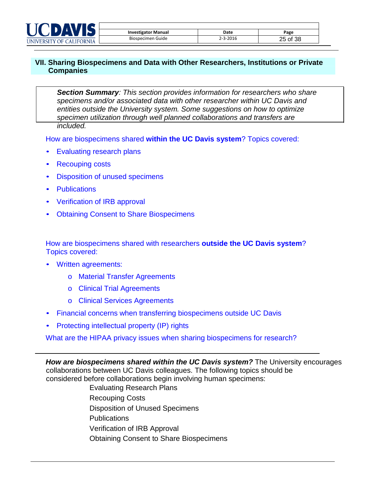

### <span id="page-24-0"></span>**VII. Sharing Biospecimens and Data with Other Researchers, Institutions or Private Companies**

*Section Summary: This section provides information for researchers who share specimens and/or associated data with other researcher within UC Davis and entities outside the University system. Some suggestions on how to optimize specimen utilization through well planned collaborations and transfers are included.*

How are biospecimens shared **within the UC Davis system**? Topics covered:

- Evaluating research plans
- Recouping costs
- Disposition of unused specimens
- **Publications**
- Verification of IRB approval
- Obtaining Consent to Share Biospecimens

How are biospecimens shared with researchers **outside the UC Davis system**? Topics covered:

- Written agreements:
	- o Material Transfer Agreements
	- o Clinical Trial Agreements
	- o Clinical Services Agreements
- Financial concerns when transferring biospecimens outside UC Davis
- Protecting intellectual property (IP) rights

What are the HIPAA privacy issues when sharing biospecimens for research?

*How are biospecimens shared within the UC Davis system?* The University encourages collaborations between UC Davis colleagues. The following topics should be considered before collaborations begin involving human specimens:

> Evaluating Research Plans Recouping Costs Disposition of Unused Specimens **Publications** Verification of IRB Approval Obtaining Consent to Share Biospecimens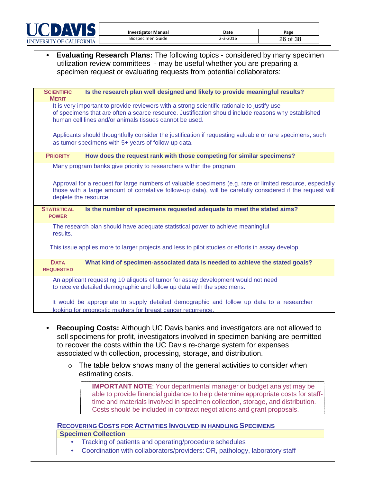| UNIVERSITY OF CALIFORNIA |  |  |
|--------------------------|--|--|

• **Evaluating Research Plans:** The following topics - considered by many specimen utilization review committees - may be useful whether you are preparing a specimen request or evaluating requests from potential collaborators:

| Is the research plan well designed and likely to provide meaningful results?<br><b>SCIENTIFIC</b><br><b>MERIT</b>                                                                                                                                             |
|---------------------------------------------------------------------------------------------------------------------------------------------------------------------------------------------------------------------------------------------------------------|
| It is very important to provide reviewers with a strong scientific rationale to justify use<br>of specimens that are often a scarce resource. Justification should include reasons why established<br>human cell lines and/or animals tissues cannot be used. |
| Applicants should thoughtfully consider the justification if requesting valuable or rare specimens, such<br>as tumor specimens with 5+ years of follow-up data.                                                                                               |
| How does the request rank with those competing for similar specimens?<br><b>PRIORITY</b>                                                                                                                                                                      |
| Many program banks give priority to researchers within the program.                                                                                                                                                                                           |
| Approval for a request for large numbers of valuable specimens (e.g. rare or limited resource, especially<br>those with a large amount of correlative follow-up data), will be carefully considered if the request will<br>deplete the resource.              |
| Is the number of specimens requested adequate to meet the stated aims?<br><b>STATISTICAL</b><br><b>POWER</b>                                                                                                                                                  |
| The research plan should have adequate statistical power to achieve meaningful<br>results.                                                                                                                                                                    |
| This issue applies more to larger projects and less to pilot studies or efforts in assay develop.                                                                                                                                                             |
| What kind of specimen-associated data is needed to achieve the stated goals?<br><b>DATA</b><br><b>REQUESTED</b>                                                                                                                                               |
| An applicant requesting 10 aliquots of tumor for assay development would not need<br>to receive detailed demographic and follow up data with the specimens.                                                                                                   |
| It would be appropriate to supply detailed demographic and follow up data to a researcher<br>looking for prognostic markers for breast cancer recurrence.                                                                                                     |
|                                                                                                                                                                                                                                                               |

- **Recouping Costs:** Although UC Davis banks and investigators are not allowed to sell specimens for profit, investigators involved in specimen banking are permitted to recover the costs within the UC Davis re-charge system for expenses associated with collection, processing, storage, and distribution.
	- $\circ$  The table below shows many of the general activities to consider when estimating costs.

**IMPORTANT NOTE**: Your departmental manager or budget analyst may be able to provide financial guidance to help determine appropriate costs for stafftime and materials involved in specimen collection, storage, and distribution. Costs should be included in contract negotiations and grant proposals.

#### **RECOVERING COSTS FOR ACTIVITIES INVOLVED IN HANDLING SPECIMENS**

**Specimen Collection**

- Tracking of patients and operating/procedure schedules
- Coordination with collaborators/providers: OR, pathology, laboratory staff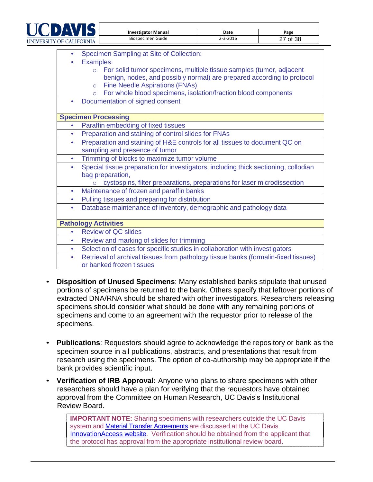

| <b>Investigator Manual</b> | Date           | Page     |
|----------------------------|----------------|----------|
| Biospecimen Guide          | $2 - 3 - 2016$ | 27 of 38 |

|  | • Specimen Sampling at Site of Collection:                    |
|--|---------------------------------------------------------------|
|  | • Examples:                                                   |
|  | $\sim$ For solid tumor specimens multiple tissue samples (tup |

- lid tumor specimens, multiple tissue samples (tumor, adjacent benign, nodes, and possibly normal) are prepared according to protocol
- o Fine Needle Aspirations (FNAs)
- o For whole blood specimens, isolation/fraction blood components
- Documentation of signed consent

| <b>Specimen Processing</b>          |  |  |  |  |  |
|-------------------------------------|--|--|--|--|--|
| Paraffin embedding of fixed tissues |  |  |  |  |  |
|                                     |  |  |  |  |  |

- Preparation and staining of control slides for FNAs
- Preparation and staining of H&E controls for all tissues to document QC on sampling and presence of tumor
- Trimming of blocks to maximize tumor volume
- Special tissue preparation for investigators, including thick sectioning, collodian bag preparation,
	- o cystospins, filter preparations, preparations for laser microdissection
- Maintenance of frozen and paraffin banks
- Pulling tissues and preparing for distribution
- Database maintenance of inventory, demographic and pathology data

### **Pathology Activities**

- Review of QC slides
- Review and marking of slides for trimming
- Selection of cases for specific studies in collaboration with investigators
- Retrieval of archival tissues from pathology tissue banks (formalin-fixed tissues) or banked frozen tissues
- **Disposition of Unused Specimens**: Many established banks stipulate that unused portions of specimens be returned to the bank. Others specify that leftover portions of extracted DNA/RNA should be shared with other investigators. Researchers releasing specimens should consider what should be done with any remaining portions of specimens and come to an agreement with the requestor prior to release of the specimens.
- **Publications**: Requestors should agree to acknowledge the repository or bank as the specimen source in all publications, abstracts, and presentations that result from research using the specimens. The option of co-authorship may be appropriate if the bank provides scientific input.
- **Verification of IRB Approval:** Anyone who plans to share specimens with other researchers should have a plan for verifying that the requestors have obtained approval from the Committee on Human Research, UC Davis's Institutional Review Board.

**IMPORTANT NOTE:** Sharing specimens with researchers outside the UC Davis system an[d Material Transfer Agreements](http://research.ucdavis.edu/industry/ia/researchers/material-transfer/) are discussed at the UC Davis [InnovationAccess website.](http://research.ucdavis.edu/industry/ia/researchers/about-ia/) Verification should be obtained from the applicant that the protocol has approval from the appropriate institutional review board.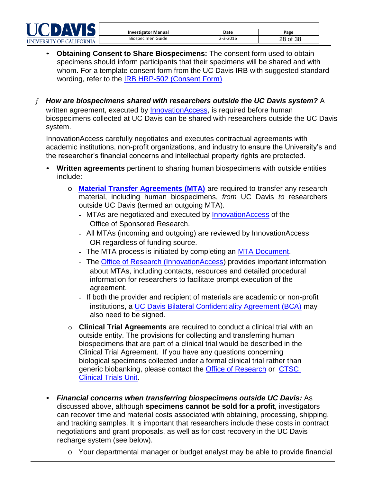| <b>Investigator Manual</b> | Date           | Page     |
|----------------------------|----------------|----------|
| Biospecimen Guide          | $2 - 3 - 2016$ | 28 of 38 |

• **Obtaining Consent to Share Biospecimens:** The consent form used to obtain specimens should inform participants that their specimens will be shared and with whom. For a template consent form from the UC Davis IRB with suggested standard wording, refer to the IRB [HRP-502 \(Consent Form\)](http://www.ucdmc.ucdavis.edu/biorepositories/pdfs/guidelines/HRP502-template-consent-document.docx).

UNIVERSITY OF CALIFORNIA

ƒ *How are biospecimens shared with researchers outside the UC Davis system?* A written agreement, executed by **InnovationAccess**, is required before human biospecimens collected at UC Davis can be shared with researchers outside the UC Davis system.

InnovationAccess carefully negotiates and executes contractual agreements with academic institutions, non-profit organizations, and industry to ensure the University's and the researcher's financial concerns and intellectual property rights are protected.

- **Written agreements** pertinent to sharing human biospecimens with outside entities include:
	- o **[Material Transfer Agreements \(MTA\)](http://research.ucdavis.edu/industry/ia/researchers/material-transfer/)** are required to transfer any research material, including human biospecimens, *from* UC Davis *to* researchers outside UC Davis (termed an outgoing MTA).
		- MTAs are negotiated and executed by [InnovationAccess](http://research.ucdavis.edu/industry/ia/researchers/ia-faq/) of the Office of Sponsored Research.
		- All MTAs (incoming and outgoing) are reviewed by InnovationAccess OR regardless of funding source.
		- The MTA process is initiated by completing an MTA [Document.](http://www.ucdmc.ucdavis.edu/biorepositories/pdfs/guidelines/MTA.pdf)
		- The [Office of Research \(InnovationAccess\)](http://research.ucdavis.edu/industry/ia/researchers/policies-forms/) provides important information about MTAs, including contacts, resources and detailed procedural information for researchers to facilitate prompt execution of the agreement.
		- If both the provider and recipient of materials are academic or non-profit institutions, a [UC Davis Bilateral Confidentiality Agreement \(BCA\)](http://www.ucdmc.ucdavis.edu/biorepositories/pdfs/guidelines/MTA.pdf) may also need to be signed.
	- o **Clinical Trial Agreements** are required to conduct a clinical trial with an outside entity. The provisions for collecting and transferring human biospecimens that are part of a clinical trial would be described in the Clinical Trial Agreement. If you have any questions concerning biological specimens collected under a formal clinical trial rather than generic biobanking, please contact the [Office of Research](http://research.ucdavis.edu/industry/partner-with-uc-davis/building-u-i-collaborations/research-transactions/types-agreements/clinical-trial-agreements/) or [CTSC](http://research.ucdavis.edu/industry/partner-with-uc-davis/building-u-i-collaborations/research-transactions/types-agreements/clinical-trial-agreements/)  [Clinical Trials Unit.](http://research.ucdavis.edu/industry/partner-with-uc-davis/building-u-i-collaborations/research-transactions/types-agreements/clinical-trial-agreements/)
- *Financial concerns when transferring biospecimens outside UC Davis:* As discussed above, although **specimens cannot be sold for a profit**, investigators can recover time and material costs associated with obtaining, processing, shipping, and tracking samples. It is important that researchers include these costs in contract negotiations and grant proposals, as well as for cost recovery in the UC Davis recharge system (see below).
	- o Your departmental manager or budget analyst may be able to provide financial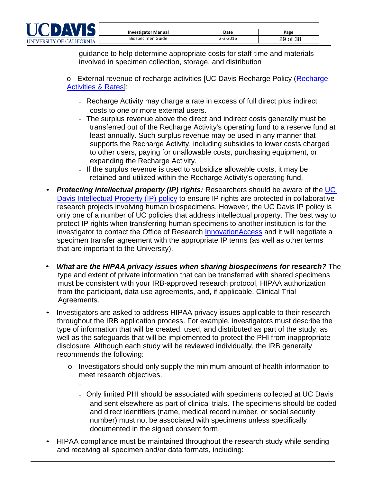| UNIVERSITY OF CALIFORNIA |  |  |
|--------------------------|--|--|

-

|   | <b>Investigator Manual</b> | Date     | Page     |
|---|----------------------------|----------|----------|
| ۰ | Biospecimen Guide          | 2-3-2016 | 29 of 38 |

guidance to help determine appropriate costs for staff-time and materials involved in specimen collection, storage, and distribution

o External revenue of recharge activities [UC Davis Recharge Policy [\(Recharge](http://budget.ucdavis.edu/rates/)  [Activities & Rates\]](http://budget.ucdavis.edu/rates/):

- Recharge Activity may charge a rate in excess of full direct plus indirect costs to one or more external users.
- The surplus revenue above the direct and indirect costs generally must be transferred out of the Recharge Activity's operating fund to a reserve fund at least annually. Such surplus revenue may be used in any manner that supports the Recharge Activity, including subsidies to lower costs charged to other users, paying for unallowable costs, purchasing equipment, or expanding the Recharge Activity.
- If the surplus revenue is used to subsidize allowable costs, it may be retained and utilized within the Recharge Activity's operating fund.
- *Protecting intellectual property (IP) rights:* Researchers should be aware of the [UC](http://research.ucdavis.edu/industry/ia/researchers/policies-forms/) Davis [Intellectual Property \(IP\) policy](http://research.ucdavis.edu/industry/ia/researchers/policies-forms/) to ensure IP rights are protected in collaborative research projects involving human biospecimens. However, the UC Davis IP policy is only one of a number of UC policies that address intellectual property. The best way to protect IP rights when transferring human specimens to another institution is for the investigator to contact the Office of Research [InnovationAccess](http://research.ucdavis.edu/industry/ia/researchers/policies-forms/) and it will negotiate a specimen transfer agreement with the appropriate IP terms (as well as other terms that are important to the University).
- *What are the HIPAA privacy issues when sharing biospecimens for research?* The type and extent of private information that can be transferred with shared specimens must be consistent with your IRB-approved research protocol, HIPAA authorization from the participant, data use agreements, and, if applicable, Clinical Trial Agreements.
- Investigators are asked to address HIPAA privacy issues applicable to their research throughout the IRB application process. For example, investigators must describe the type of information that will be created, used, and distributed as part of the study, as well as the safeguards that will be implemented to protect the PHI from inappropriate disclosure. Although each study will be reviewed individually, the IRB generally recommends the following:
	- o Investigators should only supply the minimum amount of health information to meet research objectives.
		- Only limited PHI should be associated with specimens collected at UC Davis and sent elsewhere as part of clinical trials. The specimens should be coded and direct identifiers (name, medical record number, or social security number) must not be associated with specimens unless specifically documented in the signed consent form.
- HIPAA compliance must be maintained throughout the research study while sending and receiving all specimen and/or data formats, including: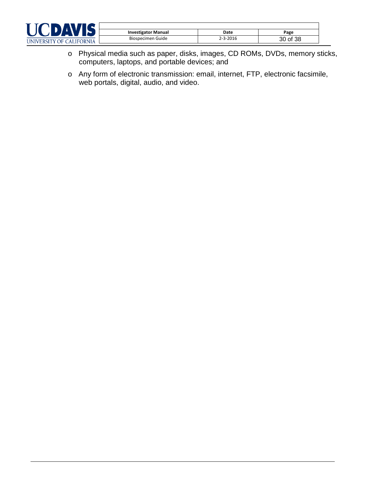

| <b>Investigator Manual</b> | Date     | Page     |
|----------------------------|----------|----------|
| Biospecimen Guide          | 2-3-2016 | 30 of 38 |

- o Physical media such as paper, disks, images, CD ROMs, DVDs, memory sticks, computers, laptops, and portable devices; and
- o Any form of electronic transmission: email, internet, FTP, electronic facsimile, web portals, digital, audio, and video.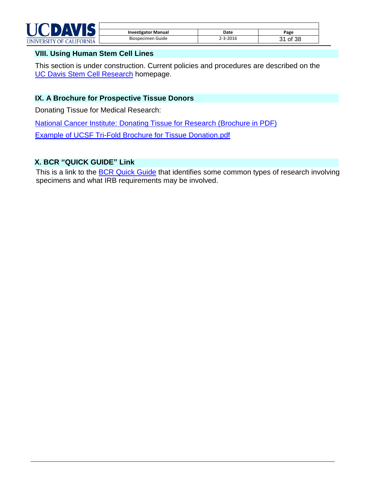

| <b>Investigator Manual</b> | Date     | Page     |
|----------------------------|----------|----------|
| Biospecimen Guide          | 2-3-2016 | 31 of 38 |

### <span id="page-30-0"></span>**VIII. Using Human Stem Cell Lines**

This section is under construction. Current policies and procedures are described on the UC Davis Stem Cell [Research](http://research.ucdavis.edu/policiescompliance/stem-cell-research/) homepage.

### <span id="page-30-1"></span>**IX. A Brochure for Prospective Tissue Donors**

Donating Tissue for Medical Research:

[National Cancer Institute: Donating Tissue for](http://www.ucdmc.ucdavis.edu/biorepositories/pdfs/guidelines/NCI-Medical-research-patient-brochure.pdf) Research (Brochure in PDF)

[Example of UCSF Tri-Fold Brochure for Tissue Donation.pdf](http://www.research.ucsf.edu/chr/Guide/TissueDonationBrochure.pdf)

### <span id="page-30-2"></span> **X. BCR "QUICK GUIDE" Link**

This is a link to the **BCR Quick Guide** that identifies some common types of research involving specimens and what IRB requirements may be involved.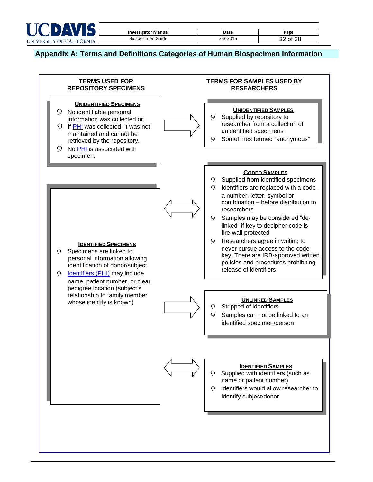

| <b>Investigator Manual</b> | Date           | Page     |
|----------------------------|----------------|----------|
| Biospecimen Guide          | $2 - 3 - 2016$ | 32 of 38 |

### <span id="page-31-0"></span>**Appendix A: Terms and Definitions Categories of Human Biospecimen Information**

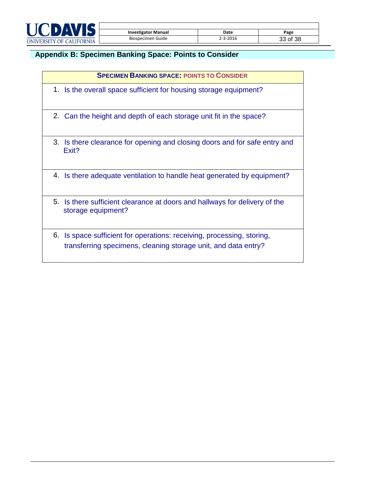

# **Appendix B: Specimen Banking Space: Points to Consider**

<span id="page-32-0"></span>

| <b>SPECIMEN BANKING SPACE: POINTS TO CONSIDER</b>                                                                                        |
|------------------------------------------------------------------------------------------------------------------------------------------|
| 1. Is the overall space sufficient for housing storage equipment?                                                                        |
| 2. Can the height and depth of each storage unit fit in the space?                                                                       |
| 3. Is there clearance for opening and closing doors and for safe entry and<br>Exit?                                                      |
| 4. Is there adequate ventilation to handle heat generated by equipment?                                                                  |
| 5. Is there sufficient clearance at doors and hallways for delivery of the<br>storage equipment?                                         |
| 6. Is space sufficient for operations: receiving, processing, storing,<br>transferring specimens, cleaning storage unit, and data entry? |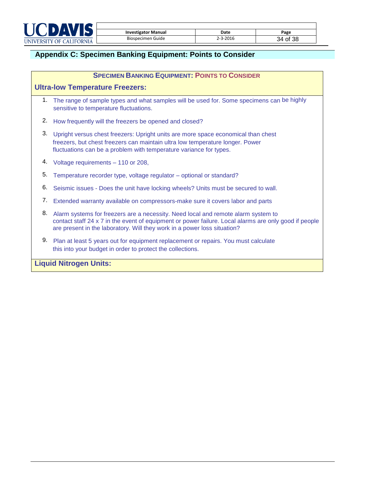

### <span id="page-33-0"></span>**Appendix C: Specimen Banking Equipment: Points to Consider**

| <b>SPECIMEN BANKING EQUIPMENT: POINTS TO CONSIDER</b> |                                                                                                                                                                                                                                                                        |  |  |  |
|-------------------------------------------------------|------------------------------------------------------------------------------------------------------------------------------------------------------------------------------------------------------------------------------------------------------------------------|--|--|--|
| <b>Ultra-low Temperature Freezers:</b>                |                                                                                                                                                                                                                                                                        |  |  |  |
| 1.                                                    | The range of sample types and what samples will be used for. Some specimens can be highly<br>sensitive to temperature fluctuations.                                                                                                                                    |  |  |  |
| 2.                                                    | How frequently will the freezers be opened and closed?                                                                                                                                                                                                                 |  |  |  |
| 3.                                                    | Upright versus chest freezers: Upright units are more space economical than chest<br>freezers, but chest freezers can maintain ultra low temperature longer. Power<br>fluctuations can be a problem with temperature variance for types.                               |  |  |  |
| 4.                                                    | Voltage requirements - 110 or 208,                                                                                                                                                                                                                                     |  |  |  |
| 5.                                                    | Temperature recorder type, voltage regulator - optional or standard?                                                                                                                                                                                                   |  |  |  |
| 6.                                                    | Seismic issues - Does the unit have locking wheels? Units must be secured to wall.                                                                                                                                                                                     |  |  |  |
| 7.                                                    | Extended warranty available on compressors-make sure it covers labor and parts                                                                                                                                                                                         |  |  |  |
| 8.                                                    | Alarm systems for freezers are a necessity. Need local and remote alarm system to<br>contact staff 24 x 7 in the event of equipment or power failure. Local alarms are only good if people<br>are present in the laboratory. Will they work in a power loss situation? |  |  |  |
| 9.                                                    | Plan at least 5 years out for equipment replacement or repairs. You must calculate<br>this into your budget in order to protect the collections.                                                                                                                       |  |  |  |
| <b>Liquid Nitrogen Units:</b>                         |                                                                                                                                                                                                                                                                        |  |  |  |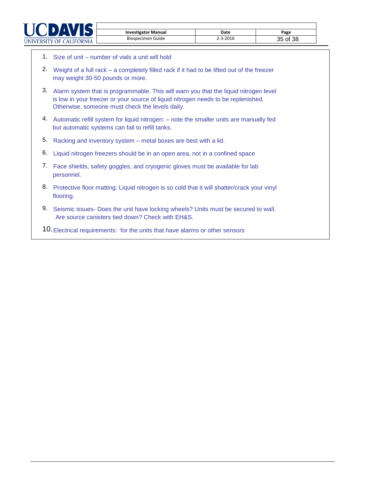

| <b>Investigator Manual</b> | Date     | Page     |
|----------------------------|----------|----------|
| Biospecimen Guide          | 2-3-2016 | 35 of 38 |

- 1. Size of unit number of vials a unit will hold
- 2. Weight of a full rack a completely filled rack if it had to be lifted out of the freezer may weight 30-50 pounds or more.
- 3. Alarm system that is programmable. This will warn you that the liquid nitrogen level is low in your freezer or your source of liquid nitrogen needs to be replenished. Otherwise, someone must check the levels daily.
- 4. Automatic refill system for liquid nitrogen: note the smaller units are manually fed but automatic systems can fail to refill tanks.
- 5. Racking and inventory system metal boxes are best with a lid.
- 6. Liquid nitrogen freezers should be in an open area, not in a confined space
- 7. Face shields, safety goggles, and cryogenic gloves must be available for lab personnel.
- 8. Protective floor matting: Liquid nitrogen is so cold that it will shatter/crack your vinyl flooring.
- 9. Seismic issues- Does the unit have locking wheels? Units must be secured to wall. Are source canisters tied down? Check with EH&S.
- 10.Electrical requirements: for the units that have alarms or other sensors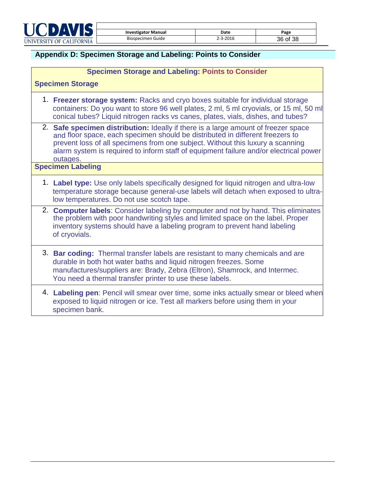

<span id="page-35-0"></span>

| <b>Investigator Manual</b> | Date     | Page     |
|----------------------------|----------|----------|
| Biospecimen Guide          | 2-3-2016 | 36 of 38 |

## **Appendix D: Specimen Storage and Labeling: Points to Consider**

| <b>Specimen Storage and Labeling: Points to Consider</b> |                                                                                                                                                                                                                                                                                                                                                            |  |  |
|----------------------------------------------------------|------------------------------------------------------------------------------------------------------------------------------------------------------------------------------------------------------------------------------------------------------------------------------------------------------------------------------------------------------------|--|--|
| <b>Specimen Storage</b>                                  |                                                                                                                                                                                                                                                                                                                                                            |  |  |
|                                                          | 1. Freezer storage system: Racks and cryo boxes suitable for individual storage<br>containers: Do you want to store 96 well plates, 2 ml, 5 ml cryovials, or 15 ml, 50 ml<br>conical tubes? Liquid nitrogen racks vs canes, plates, vials, dishes, and tubes?                                                                                              |  |  |
|                                                          | 2. Safe specimen distribution: Ideally if there is a large amount of freezer space<br>and floor space, each specimen should be distributed in different freezers to<br>prevent loss of all specimens from one subject. Without this luxury a scanning<br>alarm system is required to inform staff of equipment failure and/or electrical power<br>outages. |  |  |
|                                                          | <b>Specimen Labeling</b>                                                                                                                                                                                                                                                                                                                                   |  |  |
|                                                          | 1. Label type: Use only labels specifically designed for liquid nitrogen and ultra-low<br>temperature storage because general-use labels will detach when exposed to ultra-<br>low temperatures. Do not use scotch tape.                                                                                                                                   |  |  |
|                                                          | 2. Computer labels: Consider labeling by computer and not by hand. This eliminates<br>the problem with poor handwriting styles and limited space on the label. Proper<br>inventory systems should have a labeling program to prevent hand labeling<br>of cryovials.                                                                                        |  |  |
|                                                          | 3. Bar coding: Thermal transfer labels are resistant to many chemicals and are<br>durable in both hot water baths and liquid nitrogen freezes. Some<br>manufactures/suppliers are: Brady, Zebra (Eltron), Shamrock, and Intermec.<br>You need a thermal transfer printer to use these labels.                                                              |  |  |
|                                                          | 4. Labeling pen: Pencil will smear over time, some inks actually smear or bleed when<br>exposed to liquid nitrogen or ice. Test all markers before using them in your<br>specimen bank.                                                                                                                                                                    |  |  |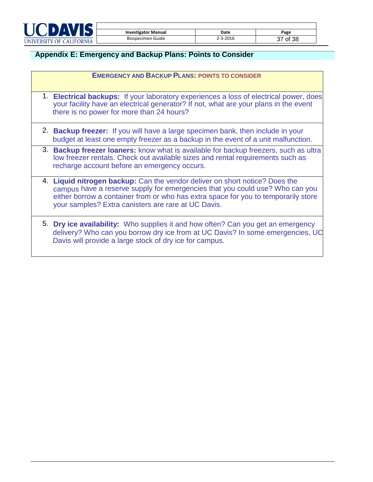

| <b>Investigator Manual</b> | Date           | Page     |
|----------------------------|----------------|----------|
| Biospecimen Guide          | $2 - 3 - 2016$ | 37 of 38 |

## <span id="page-36-0"></span>**Appendix E: Emergency and Backup Plans: Points to Consider**

| <b>EMERGENCY AND BACKUP PLANS: POINTS TO CONSIDER</b>                                                                                                                                                                                                                                                    |  |
|----------------------------------------------------------------------------------------------------------------------------------------------------------------------------------------------------------------------------------------------------------------------------------------------------------|--|
| 1. Electrical backups: If your laboratory experiences a loss of electrical power, does<br>your facility have an electrical generator? If not, what are your plans in the event<br>there is no power for more than 24 hours?                                                                              |  |
| 2. Backup freezer: If you will have a large specimen bank, then include in your<br>budget at least one empty freezer as a backup in the event of a unit malfunction.                                                                                                                                     |  |
| 3. Backup freezer loaners: know what is available for backup freezers, such as ultra<br>low freezer rentals. Check out available sizes and rental requirements such as<br>recharge account before an emergency occurs.                                                                                   |  |
| 4. Liquid nitrogen backup: Can the vendor deliver on short notice? Does the<br>campus have a reserve supply for emergencies that you could use? Who can you<br>either borrow a container from or who has extra space for you to temporarily store<br>your samples? Extra canisters are rare at UC Davis. |  |
| 5. Dry ice availability: Who supplies it and how often? Can you get an emergency<br>delivery? Who can you borrow dry ice from at UC Davis? In some emergencies, UC<br>Davis will provide a large stock of dry ice for campus.                                                                            |  |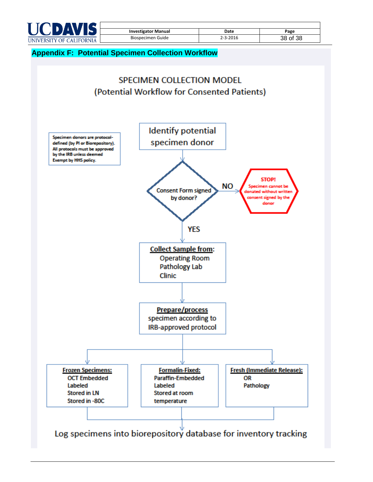

| <b>Investigator Manual</b> | Date     | Page     |
|----------------------------|----------|----------|
| Biospecimen Guide          | 2-3-2016 | 38 of 38 |

<span id="page-37-0"></span>

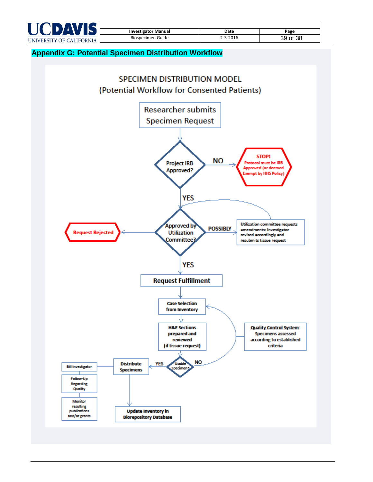

| <b>Investigator Manual</b> | Date     | Page     |
|----------------------------|----------|----------|
| Biospecimen Guide          | 2-3-2016 | 39 of 38 |

### <span id="page-38-0"></span>**Appendix G: Potential Specimen Distribution Workflow**

<span id="page-38-1"></span>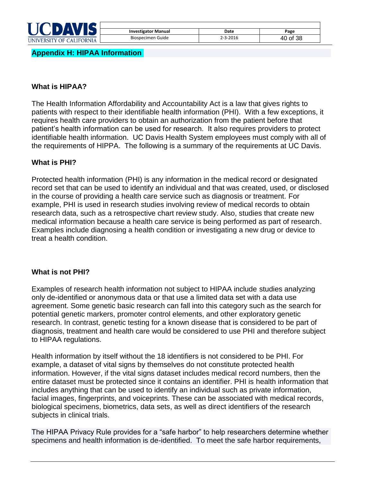

| <b>Investigator Manual</b> | Date           | Page     |
|----------------------------|----------------|----------|
| Biospecimen Guide          | $2 - 3 - 2016$ | 40 of 38 |

### **Appendix H: HIPAA Information**

### **What is HIPAA?**

The Health Information Affordability and Accountability Act is a law that gives rights to patients with respect to their identifiable health information (PHI). With a few exceptions, it requires health care providers to obtain an authorization from the patient before that patient's health information can be used for research. It also requires providers to protect identifiable health information. UC Davis Health System employees must comply with all of the requirements of HIPPA. The following is a summary of the requirements at UC Davis.

### **What is PHI?**

Protected health information (PHI) is any information in the medical record or designated record set that can be used to identify an individual and that was created, used, or disclosed in the course of providing a health care service such as diagnosis or treatment. For example, PHI is used in research studies involving review of medical records to obtain research data, such as a retrospective chart review study. Also, studies that create new medical information because a health care service is being performed as part of research. Examples include diagnosing a health condition or investigating a new drug or device to treat a health condition.

#### **What is not PHI?**

Examples of research health information not subject to HIPAA include studies analyzing only de-identified or anonymous data or that use a limited data set with a data use agreement. Some genetic basic research can fall into this category such as the search for potential genetic markers, promoter control elements, and other exploratory genetic research. In contrast, genetic testing for a known disease that is considered to be part of diagnosis, treatment and health care would be considered to use PHI and therefore subject to HIPAA regulations.

Health information by itself without the 18 identifiers is not considered to be PHI. For example, a dataset of vital signs by themselves do not constitute protected health information. However, if the vital signs dataset includes medical record numbers, then the entire dataset must be protected since it contains an identifier. PHI is health information that includes anything that can be used to identify an individual such as private information, facial images, fingerprints, and voiceprints. These can be associated with medical records, biological specimens, biometrics, data sets, as well as direct identifiers of the research subjects in clinical trials.

The HIPAA Privacy Rule provides for a "safe harbor" to help researchers determine whether specimens and health information is de-identified. To meet the safe harbor requirements,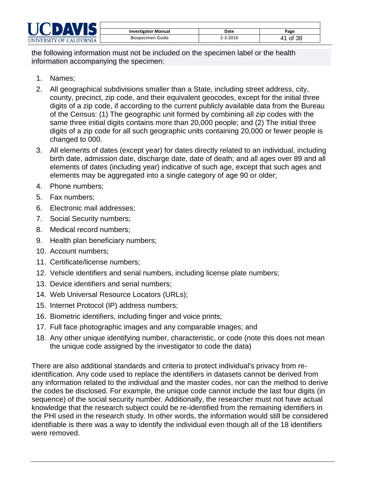| UNIVERSITY OF CALIFORNIA |  |  |
|--------------------------|--|--|

| <b>Investigator Manual</b> | Date           | Page     |
|----------------------------|----------------|----------|
| Biospecimen Guide          | $2 - 3 - 2016$ | 41 of 38 |

the following information must not be included on the specimen label or the health information accompanying the specimen:

- 1. Names;
- 2. All geographical subdivisions smaller than a State, including street address, city, county, precinct, zip code, and their equivalent geocodes, except for the initial three digits of a zip code, if according to the current publicly available data from the Bureau of the Census: (1) The geographic unit formed by combining all zip codes with the same three initial digits contains more than 20,000 people; and (2) The initial three digits of a zip code for all such geographic units containing 20,000 or fewer people is changed to 000.
- 3. All elements of dates (except year) for dates directly related to an individual, including birth date, admission date, discharge date, date of death; and all ages over 89 and all elements of dates (including year) indicative of such age, except that such ages and elements may be aggregated into a single category of age 90 or older;
- 4. Phone numbers;
- 5. Fax numbers;
- 6. Electronic mail addresses;
- 7. Social Security numbers;
- 8. Medical record numbers;
- 9. Health plan beneficiary numbers;
- 10. Account numbers;
- 11. Certificate/license numbers;
- 12. Vehicle identifiers and serial numbers, including license plate numbers;
- 13. Device identifiers and serial numbers;
- 14. Web Universal Resource Locators (URLs);
- 15. Internet Protocol (IP) address numbers;
- 16. Biometric identifiers, including finger and voice prints;
- 17. Full face photographic images and any comparable images; and
- 18. Any other unique identifying number, characteristic, or code (note this does not mean the unique code assigned by the investigator to code the data)

There are also additional standards and criteria to protect individual's privacy from reidentification. Any code used to replace the identifiers in datasets cannot be derived from any information related to the individual and the master codes, nor can the method to derive the codes be disclosed. For example, the unique code cannot include the last four digits (in sequence) of the social security number. Additionally, the researcher must not have actual knowledge that the research subject could be re-identified from the remaining identifiers in the PHI used in the research study. In other words, the information would still be considered identifiable is there was a way to identify the individual even though all of the 18 identifiers were removed.